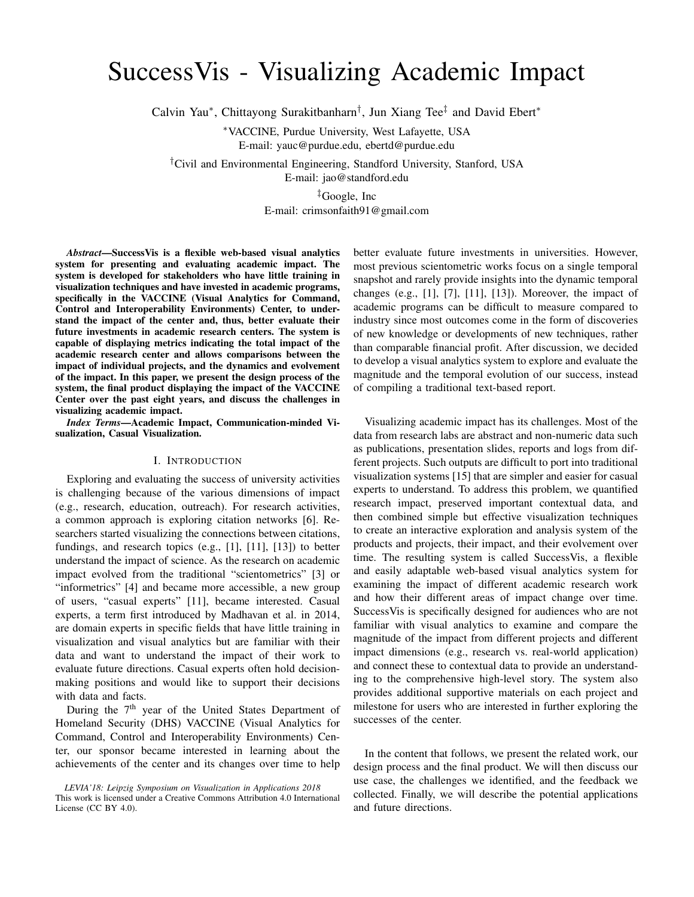# SuccessVis - Visualizing Academic Impact

Calvin Yau\*, Chittayong Surakitbanharn<sup>†</sup>, Jun Xiang Tee<sup>‡</sup> and David Ebert\*

<sup>∗</sup>VACCINE, Purdue University, West Lafayette, USA E-mail: yauc@purdue.edu, ebertd@purdue.edu

†Civil and Environmental Engineering, Standford University, Stanford, USA

E-mail: jao@standford.edu

‡Google, Inc

E-mail: crimsonfaith91@gmail.com

*Abstract*—SuccessVis is a flexible web-based visual analytics system for presenting and evaluating academic impact. The system is developed for stakeholders who have little training in visualization techniques and have invested in academic programs, specifically in the VACCINE (Visual Analytics for Command, Control and Interoperability Environments) Center, to understand the impact of the center and, thus, better evaluate their future investments in academic research centers. The system is capable of displaying metrics indicating the total impact of the academic research center and allows comparisons between the impact of individual projects, and the dynamics and evolvement of the impact. In this paper, we present the design process of the system, the final product displaying the impact of the VACCINE Center over the past eight years, and discuss the challenges in visualizing academic impact.

*Index Terms*—Academic Impact, Communication-minded Visualization, Casual Visualization.

# I. INTRODUCTION

Exploring and evaluating the success of university activities is challenging because of the various dimensions of impact (e.g., research, education, outreach). For research activities, a common approach is exploring citation networks [6]. Researchers started visualizing the connections between citations, fundings, and research topics (e.g., [1], [11], [13]) to better understand the impact of science. As the research on academic impact evolved from the traditional "scientometrics" [3] or "informetrics" [4] and became more accessible, a new group of users, "casual experts" [11], became interested. Casual experts, a term first introduced by Madhavan et al. in 2014, are domain experts in specific fields that have little training in visualization and visual analytics but are familiar with their data and want to understand the impact of their work to evaluate future directions. Casual experts often hold decisionmaking positions and would like to support their decisions with data and facts.

During the 7<sup>th</sup> year of the United States Department of Homeland Security (DHS) VACCINE (Visual Analytics for Command, Control and Interoperability Environments) Center, our sponsor became interested in learning about the achievements of the center and its changes over time to help

*LEVIA'18: Leipzig Symposium on Visualization in Applications 2018* This work is licensed under a Creative Commons Attribution 4.0 International License (CC BY 4.0).

better evaluate future investments in universities. However, most previous scientometric works focus on a single temporal snapshot and rarely provide insights into the dynamic temporal changes (e.g., [1], [7], [11], [13]). Moreover, the impact of academic programs can be difficult to measure compared to industry since most outcomes come in the form of discoveries of new knowledge or developments of new techniques, rather than comparable financial profit. After discussion, we decided to develop a visual analytics system to explore and evaluate the magnitude and the temporal evolution of our success, instead of compiling a traditional text-based report.

Visualizing academic impact has its challenges. Most of the data from research labs are abstract and non-numeric data such as publications, presentation slides, reports and logs from different projects. Such outputs are difficult to port into traditional visualization systems [15] that are simpler and easier for casual experts to understand. To address this problem, we quantified research impact, preserved important contextual data, and then combined simple but effective visualization techniques to create an interactive exploration and analysis system of the products and projects, their impact, and their evolvement over time. The resulting system is called SuccessVis, a flexible and easily adaptable web-based visual analytics system for examining the impact of different academic research work and how their different areas of impact change over time. SuccessVis is specifically designed for audiences who are not familiar with visual analytics to examine and compare the magnitude of the impact from different projects and different impact dimensions (e.g., research vs. real-world application) and connect these to contextual data to provide an understanding to the comprehensive high-level story. The system also provides additional supportive materials on each project and milestone for users who are interested in further exploring the successes of the center.

In the content that follows, we present the related work, our design process and the final product. We will then discuss our use case, the challenges we identified, and the feedback we collected. Finally, we will describe the potential applications and future directions.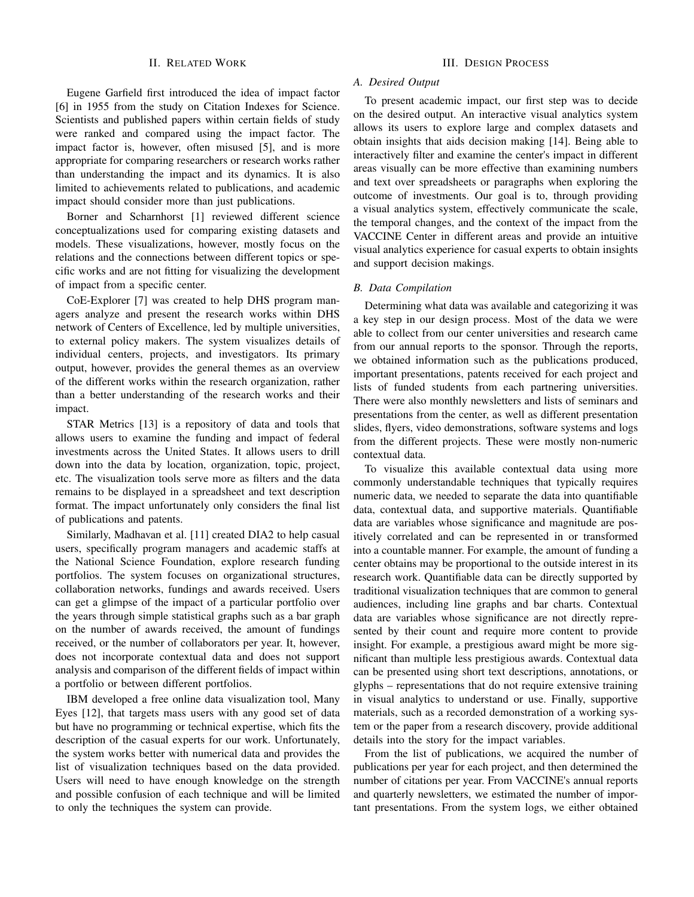#### II. RELATED WORK

Eugene Garfield first introduced the idea of impact factor [6] in 1955 from the study on Citation Indexes for Science. Scientists and published papers within certain fields of study were ranked and compared using the impact factor. The impact factor is, however, often misused [5], and is more appropriate for comparing researchers or research works rather than understanding the impact and its dynamics. It is also limited to achievements related to publications, and academic impact should consider more than just publications.

Borner and Scharnhorst [1] reviewed different science conceptualizations used for comparing existing datasets and models. These visualizations, however, mostly focus on the relations and the connections between different topics or specific works and are not fitting for visualizing the development of impact from a specific center.

CoE-Explorer [7] was created to help DHS program managers analyze and present the research works within DHS network of Centers of Excellence, led by multiple universities, to external policy makers. The system visualizes details of individual centers, projects, and investigators. Its primary output, however, provides the general themes as an overview of the different works within the research organization, rather than a better understanding of the research works and their impact.

STAR Metrics [13] is a repository of data and tools that allows users to examine the funding and impact of federal investments across the United States. It allows users to drill down into the data by location, organization, topic, project, etc. The visualization tools serve more as filters and the data remains to be displayed in a spreadsheet and text description format. The impact unfortunately only considers the final list of publications and patents.

Similarly, Madhavan et al. [11] created DIA2 to help casual users, specifically program managers and academic staffs at the National Science Foundation, explore research funding portfolios. The system focuses on organizational structures, collaboration networks, fundings and awards received. Users can get a glimpse of the impact of a particular portfolio over the years through simple statistical graphs such as a bar graph on the number of awards received, the amount of fundings received, or the number of collaborators per year. It, however, does not incorporate contextual data and does not support analysis and comparison of the different fields of impact within a portfolio or between different portfolios.

IBM developed a free online data visualization tool, Many Eyes [12], that targets mass users with any good set of data but have no programming or technical expertise, which fits the description of the casual experts for our work. Unfortunately, the system works better with numerical data and provides the list of visualization techniques based on the data provided. Users will need to have enough knowledge on the strength and possible confusion of each technique and will be limited to only the techniques the system can provide.

# III. DESIGN PROCESS

#### *A. Desired Output*

To present academic impact, our first step was to decide on the desired output. An interactive visual analytics system allows its users to explore large and complex datasets and obtain insights that aids decision making [14]. Being able to interactively filter and examine the center's impact in different areas visually can be more effective than examining numbers and text over spreadsheets or paragraphs when exploring the outcome of investments. Our goal is to, through providing a visual analytics system, effectively communicate the scale, the temporal changes, and the context of the impact from the VACCINE Center in different areas and provide an intuitive visual analytics experience for casual experts to obtain insights and support decision makings.

# *B. Data Compilation*

Determining what data was available and categorizing it was a key step in our design process. Most of the data we were able to collect from our center universities and research came from our annual reports to the sponsor. Through the reports, we obtained information such as the publications produced, important presentations, patents received for each project and lists of funded students from each partnering universities. There were also monthly newsletters and lists of seminars and presentations from the center, as well as different presentation slides, flyers, video demonstrations, software systems and logs from the different projects. These were mostly non-numeric contextual data.

To visualize this available contextual data using more commonly understandable techniques that typically requires numeric data, we needed to separate the data into quantifiable data, contextual data, and supportive materials. Quantifiable data are variables whose significance and magnitude are positively correlated and can be represented in or transformed into a countable manner. For example, the amount of funding a center obtains may be proportional to the outside interest in its research work. Quantifiable data can be directly supported by traditional visualization techniques that are common to general audiences, including line graphs and bar charts. Contextual data are variables whose significance are not directly represented by their count and require more content to provide insight. For example, a prestigious award might be more significant than multiple less prestigious awards. Contextual data can be presented using short text descriptions, annotations, or glyphs – representations that do not require extensive training in visual analytics to understand or use. Finally, supportive materials, such as a recorded demonstration of a working system or the paper from a research discovery, provide additional details into the story for the impact variables.

From the list of publications, we acquired the number of publications per year for each project, and then determined the number of citations per year. From VACCINE's annual reports and quarterly newsletters, we estimated the number of important presentations. From the system logs, we either obtained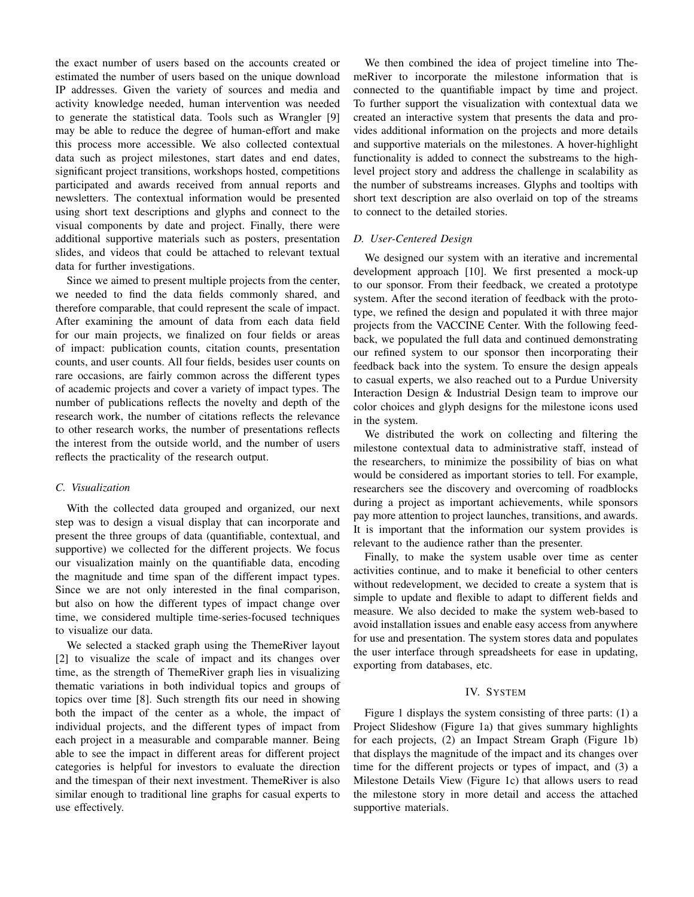the exact number of users based on the accounts created or estimated the number of users based on the unique download IP addresses. Given the variety of sources and media and activity knowledge needed, human intervention was needed to generate the statistical data. Tools such as Wrangler [9] may be able to reduce the degree of human-effort and make this process more accessible. We also collected contextual data such as project milestones, start dates and end dates, significant project transitions, workshops hosted, competitions participated and awards received from annual reports and newsletters. The contextual information would be presented using short text descriptions and glyphs and connect to the visual components by date and project. Finally, there were additional supportive materials such as posters, presentation slides, and videos that could be attached to relevant textual data for further investigations.

Since we aimed to present multiple projects from the center, we needed to find the data fields commonly shared, and therefore comparable, that could represent the scale of impact. After examining the amount of data from each data field for our main projects, we finalized on four fields or areas of impact: publication counts, citation counts, presentation counts, and user counts. All four fields, besides user counts on rare occasions, are fairly common across the different types of academic projects and cover a variety of impact types. The number of publications reflects the novelty and depth of the research work, the number of citations reflects the relevance to other research works, the number of presentations reflects the interest from the outside world, and the number of users reflects the practicality of the research output.

# *C. Visualization*

With the collected data grouped and organized, our next step was to design a visual display that can incorporate and present the three groups of data (quantifiable, contextual, and supportive) we collected for the different projects. We focus our visualization mainly on the quantifiable data, encoding the magnitude and time span of the different impact types. Since we are not only interested in the final comparison, but also on how the different types of impact change over time, we considered multiple time-series-focused techniques to visualize our data.

We selected a stacked graph using the ThemeRiver layout [2] to visualize the scale of impact and its changes over time, as the strength of ThemeRiver graph lies in visualizing thematic variations in both individual topics and groups of topics over time [8]. Such strength fits our need in showing both the impact of the center as a whole, the impact of individual projects, and the different types of impact from each project in a measurable and comparable manner. Being able to see the impact in different areas for different project categories is helpful for investors to evaluate the direction and the timespan of their next investment. ThemeRiver is also similar enough to traditional line graphs for casual experts to use effectively.

We then combined the idea of project timeline into ThemeRiver to incorporate the milestone information that is connected to the quantifiable impact by time and project. To further support the visualization with contextual data we created an interactive system that presents the data and provides additional information on the projects and more details and supportive materials on the milestones. A hover-highlight functionality is added to connect the substreams to the highlevel project story and address the challenge in scalability as the number of substreams increases. Glyphs and tooltips with short text description are also overlaid on top of the streams to connect to the detailed stories.

#### *D. User-Centered Design*

We designed our system with an iterative and incremental development approach [10]. We first presented a mock-up to our sponsor. From their feedback, we created a prototype system. After the second iteration of feedback with the prototype, we refined the design and populated it with three major projects from the VACCINE Center. With the following feedback, we populated the full data and continued demonstrating our refined system to our sponsor then incorporating their feedback back into the system. To ensure the design appeals to casual experts, we also reached out to a Purdue University Interaction Design & Industrial Design team to improve our color choices and glyph designs for the milestone icons used in the system.

We distributed the work on collecting and filtering the milestone contextual data to administrative staff, instead of the researchers, to minimize the possibility of bias on what would be considered as important stories to tell. For example, researchers see the discovery and overcoming of roadblocks during a project as important achievements, while sponsors pay more attention to project launches, transitions, and awards. It is important that the information our system provides is relevant to the audience rather than the presenter.

Finally, to make the system usable over time as center activities continue, and to make it beneficial to other centers without redevelopment, we decided to create a system that is simple to update and flexible to adapt to different fields and measure. We also decided to make the system web-based to avoid installation issues and enable easy access from anywhere for use and presentation. The system stores data and populates the user interface through spreadsheets for ease in updating, exporting from databases, etc.

# IV. SYSTEM

Figure 1 displays the system consisting of three parts: (1) a Project Slideshow (Figure 1a) that gives summary highlights for each projects, (2) an Impact Stream Graph (Figure 1b) that displays the magnitude of the impact and its changes over time for the different projects or types of impact, and (3) a Milestone Details View (Figure 1c) that allows users to read the milestone story in more detail and access the attached supportive materials.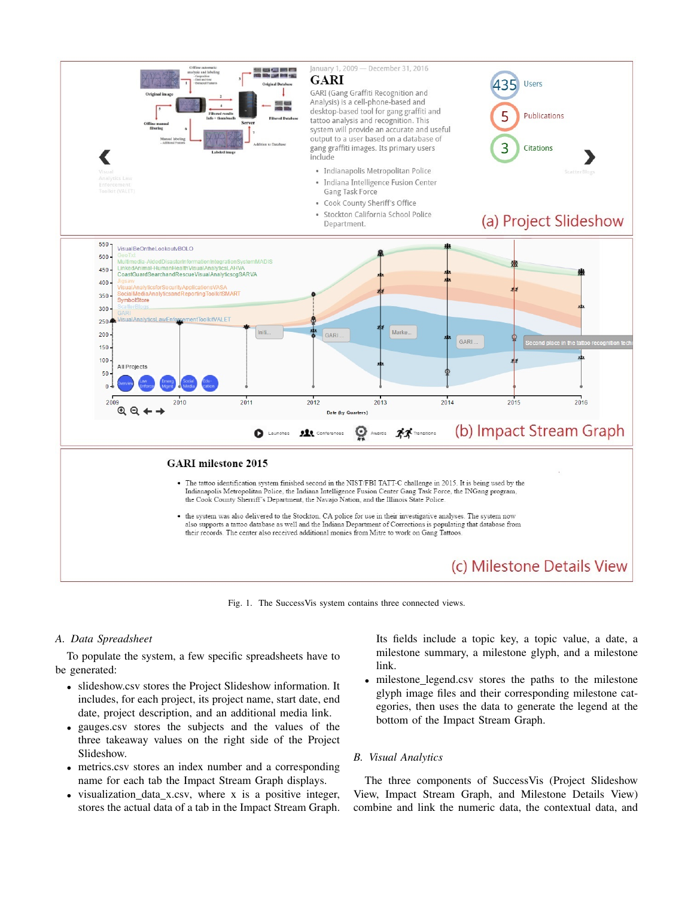

Fig. 1. The SuccessVis system contains three connected views.

# *A. Data Spreadsheet*

To populate the system, a few specific spreadsheets have to be generated:

- slideshow.csv stores the Project Slideshow information. It includes, for each project, its project name, start date, end date, project description, and an additional media link.
- gauges.csv stores the subjects and the values of the three takeaway values on the right side of the Project Slideshow.
- metrics.csv stores an index number and a corresponding name for each tab the Impact Stream Graph displays.
- visualization\_data\_x.csv, where x is a positive integer, stores the actual data of a tab in the Impact Stream Graph.

Its fields include a topic key, a topic value, a date, a milestone summary, a milestone glyph, and a milestone link.

milestone\_legend.csv stores the paths to the milestone glyph image files and their corresponding milestone categories, then uses the data to generate the legend at the bottom of the Impact Stream Graph.

# *B. Visual Analytics*

The three components of SuccessVis (Project Slideshow View, Impact Stream Graph, and Milestone Details View) combine and link the numeric data, the contextual data, and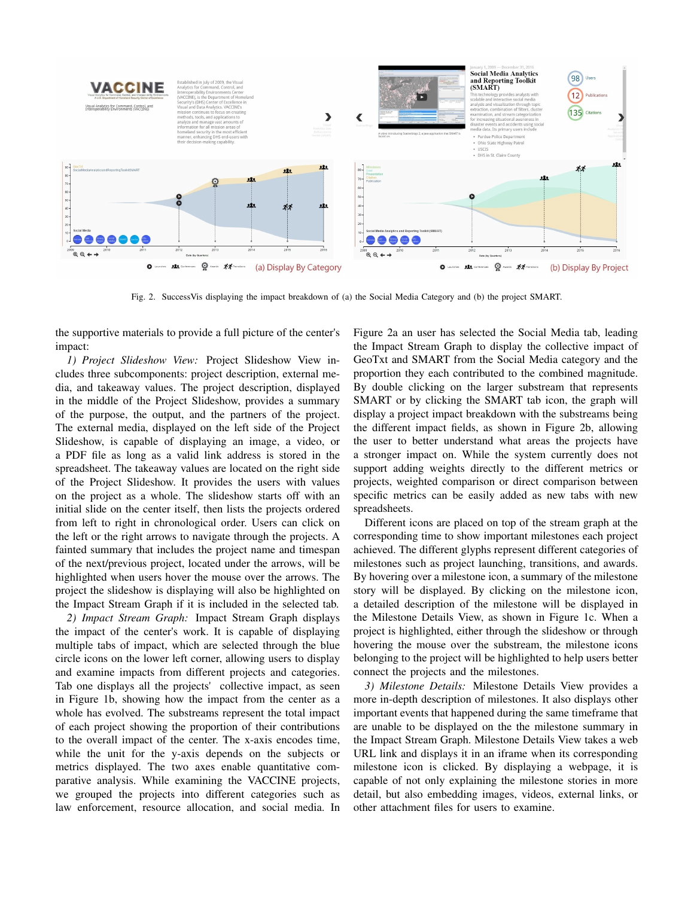

Fig. 2. SuccessVis displaying the impact breakdown of (a) the Social Media Category and (b) the project SMART.

the supportive materials to provide a full picture of the center's impact:

*1) Project Slideshow View:* Project Slideshow View includes three subcomponents: project description, external media, and takeaway values. The project description, displayed in the middle of the Project Slideshow, provides a summary of the purpose, the output, and the partners of the project. The external media, displayed on the left side of the Project Slideshow, is capable of displaying an image, a video, or a PDF file as long as a valid link address is stored in the spreadsheet. The takeaway values are located on the right side of the Project Slideshow. It provides the users with values on the project as a whole. The slideshow starts off with an initial slide on the center itself, then lists the projects ordered from left to right in chronological order. Users can click on the left or the right arrows to navigate through the projects. A fainted summary that includes the project name and timespan of the next/previous project, located under the arrows, will be highlighted when users hover the mouse over the arrows. The project the slideshow is displaying will also be highlighted on the Impact Stream Graph if it is included in the selected tab.

*2) Impact Stream Graph:* Impact Stream Graph displays the impact of the center's work. It is capable of displaying multiple tabs of impact, which are selected through the blue circle icons on the lower left corner, allowing users to display and examine impacts from different projects and categories. Tab one displays all the projects' collective impact, as seen in Figure 1b, showing how the impact from the center as a whole has evolved. The substreams represent the total impact of each project showing the proportion of their contributions to the overall impact of the center. The x-axis encodes time, while the unit for the y-axis depends on the subjects or metrics displayed. The two axes enable quantitative comparative analysis. While examining the VACCINE projects, we grouped the projects into different categories such as law enforcement, resource allocation, and social media. In

Figure 2a an user has selected the Social Media tab, leading the Impact Stream Graph to display the collective impact of GeoTxt and SMART from the Social Media category and the proportion they each contributed to the combined magnitude. By double clicking on the larger substream that represents SMART or by clicking the SMART tab icon, the graph will display a project impact breakdown with the substreams being the different impact fields, as shown in Figure 2b, allowing the user to better understand what areas the projects have a stronger impact on. While the system currently does not support adding weights directly to the different metrics or projects, weighted comparison or direct comparison between specific metrics can be easily added as new tabs with new spreadsheets.

Different icons are placed on top of the stream graph at the corresponding time to show important milestones each project achieved. The different glyphs represent different categories of milestones such as project launching, transitions, and awards. By hovering over a milestone icon, a summary of the milestone story will be displayed. By clicking on the milestone icon, a detailed description of the milestone will be displayed in the Milestone Details View, as shown in Figure 1c. When a project is highlighted, either through the slideshow or through hovering the mouse over the substream, the milestone icons belonging to the project will be highlighted to help users better connect the projects and the milestones.

*3) Milestone Details:* Milestone Details View provides a more in-depth description of milestones. It also displays other important events that happened during the same timeframe that are unable to be displayed on the the milestone summary in the Impact Stream Graph. Milestone Details View takes a web URL link and displays it in an iframe when its corresponding milestone icon is clicked. By displaying a webpage, it is capable of not only explaining the milestone stories in more detail, but also embedding images, videos, external links, or other attachment files for users to examine.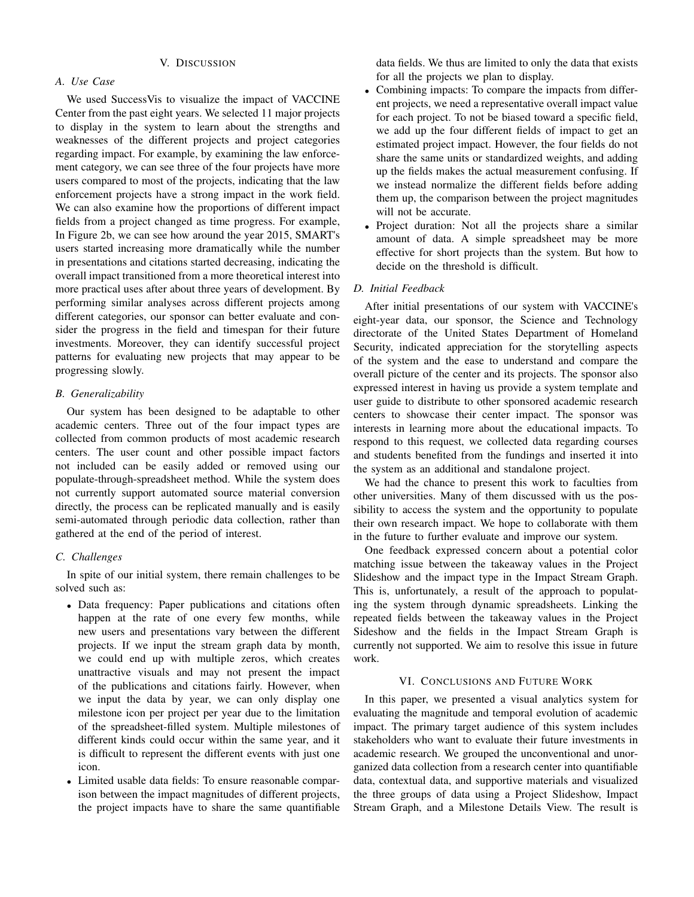# *A. Use Case*

We used SuccessVis to visualize the impact of VACCINE Center from the past eight years. We selected 11 major projects to display in the system to learn about the strengths and weaknesses of the different projects and project categories regarding impact. For example, by examining the law enforcement category, we can see three of the four projects have more users compared to most of the projects, indicating that the law enforcement projects have a strong impact in the work field. We can also examine how the proportions of different impact fields from a project changed as time progress. For example, In Figure 2b, we can see how around the year 2015, SMART's users started increasing more dramatically while the number in presentations and citations started decreasing, indicating the overall impact transitioned from a more theoretical interest into more practical uses after about three years of development. By performing similar analyses across different projects among different categories, our sponsor can better evaluate and consider the progress in the field and timespan for their future investments. Moreover, they can identify successful project patterns for evaluating new projects that may appear to be progressing slowly.

# *B. Generalizability*

Our system has been designed to be adaptable to other academic centers. Three out of the four impact types are collected from common products of most academic research centers. The user count and other possible impact factors not included can be easily added or removed using our populate-through-spreadsheet method. While the system does not currently support automated source material conversion directly, the process can be replicated manually and is easily semi-automated through periodic data collection, rather than gathered at the end of the period of interest.

## *C. Challenges*

In spite of our initial system, there remain challenges to be solved such as:

- Data frequency: Paper publications and citations often happen at the rate of one every few months, while new users and presentations vary between the different projects. If we input the stream graph data by month, we could end up with multiple zeros, which creates unattractive visuals and may not present the impact of the publications and citations fairly. However, when we input the data by year, we can only display one milestone icon per project per year due to the limitation of the spreadsheet-filled system. Multiple milestones of different kinds could occur within the same year, and it is difficult to represent the different events with just one icon.
- Limited usable data fields: To ensure reasonable comparison between the impact magnitudes of different projects, the project impacts have to share the same quantifiable

data fields. We thus are limited to only the data that exists for all the projects we plan to display.

- Combining impacts: To compare the impacts from different projects, we need a representative overall impact value for each project. To not be biased toward a specific field, we add up the four different fields of impact to get an estimated project impact. However, the four fields do not share the same units or standardized weights, and adding up the fields makes the actual measurement confusing. If we instead normalize the different fields before adding them up, the comparison between the project magnitudes will not be accurate.
- Project duration: Not all the projects share a similar amount of data. A simple spreadsheet may be more effective for short projects than the system. But how to decide on the threshold is difficult.

# *D. Initial Feedback*

After initial presentations of our system with VACCINE's eight-year data, our sponsor, the Science and Technology directorate of the United States Department of Homeland Security, indicated appreciation for the storytelling aspects of the system and the ease to understand and compare the overall picture of the center and its projects. The sponsor also expressed interest in having us provide a system template and user guide to distribute to other sponsored academic research centers to showcase their center impact. The sponsor was interests in learning more about the educational impacts. To respond to this request, we collected data regarding courses and students benefited from the fundings and inserted it into the system as an additional and standalone project.

We had the chance to present this work to faculties from other universities. Many of them discussed with us the possibility to access the system and the opportunity to populate their own research impact. We hope to collaborate with them in the future to further evaluate and improve our system.

One feedback expressed concern about a potential color matching issue between the takeaway values in the Project Slideshow and the impact type in the Impact Stream Graph. This is, unfortunately, a result of the approach to populating the system through dynamic spreadsheets. Linking the repeated fields between the takeaway values in the Project Sideshow and the fields in the Impact Stream Graph is currently not supported. We aim to resolve this issue in future work.

## VI. CONCLUSIONS AND FUTURE WORK

In this paper, we presented a visual analytics system for evaluating the magnitude and temporal evolution of academic impact. The primary target audience of this system includes stakeholders who want to evaluate their future investments in academic research. We grouped the unconventional and unorganized data collection from a research center into quantifiable data, contextual data, and supportive materials and visualized the three groups of data using a Project Slideshow, Impact Stream Graph, and a Milestone Details View. The result is